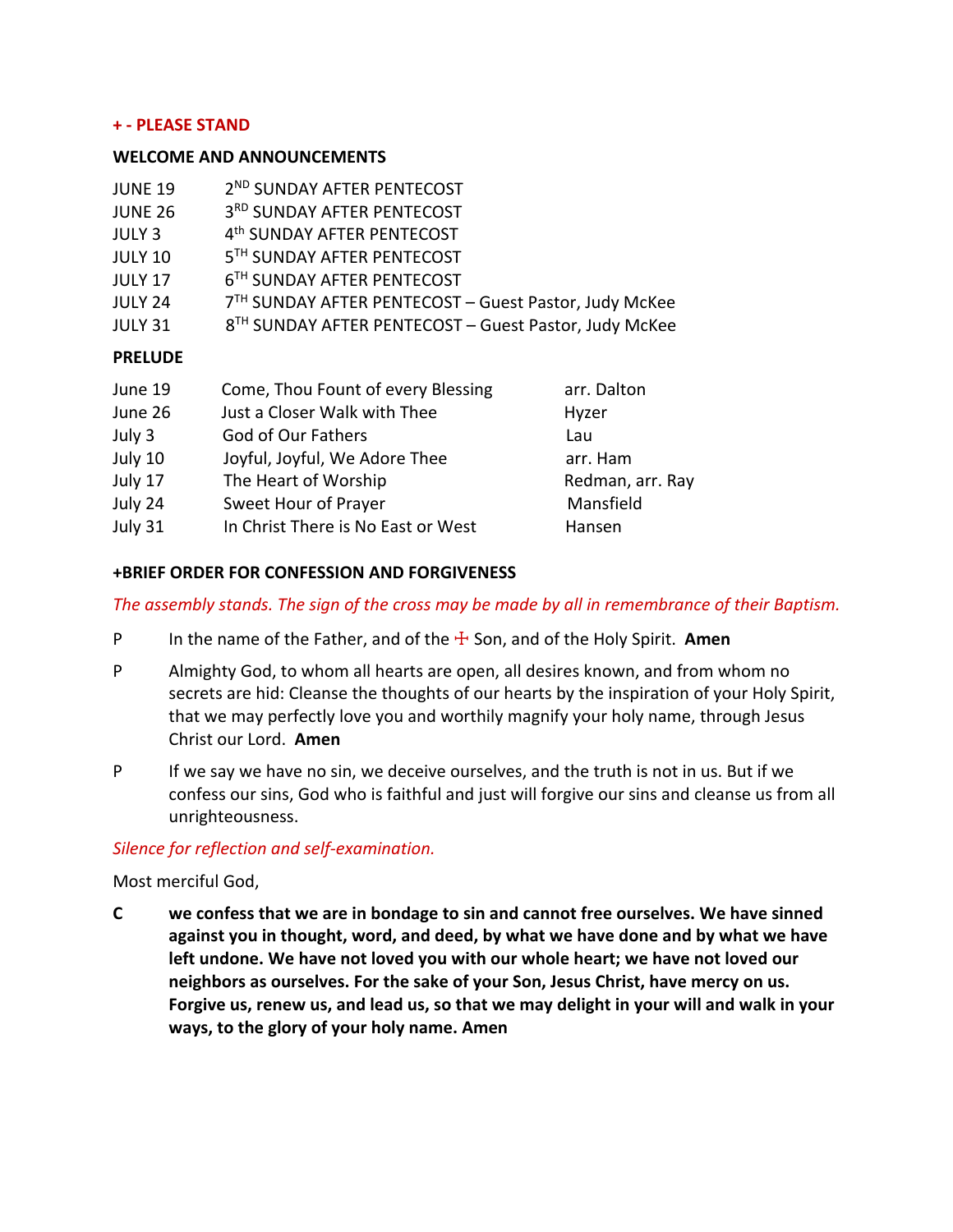### **+ - PLEASE STAND**

#### **WELCOME AND ANNOUNCEMENTS**

| <b>JUNE 19</b> | 2 <sup>ND</sup> SUNDAY AFTER PENTECOST                            |                  |  |
|----------------|-------------------------------------------------------------------|------------------|--|
| <b>JUNE 26</b> | 3RD SUNDAY AFTER PENTECOST                                        |                  |  |
| <b>JULY 3</b>  | 4 <sup>th</sup> SUNDAY AFTER PENTECOST                            |                  |  |
| <b>JULY 10</b> | 5 <sup>TH</sup> SUNDAY AFTER PENTECOST                            |                  |  |
| <b>JULY 17</b> | 6 <sup>TH</sup> SUNDAY AFTER PENTECOST                            |                  |  |
| <b>JULY 24</b> | 7 <sup>TH</sup> SUNDAY AFTER PENTECOST - Guest Pastor, Judy McKee |                  |  |
| <b>JULY 31</b> | 8 <sup>TH</sup> SUNDAY AFTER PENTECOST - Guest Pastor, Judy McKee |                  |  |
| <b>PRELUDE</b> |                                                                   |                  |  |
| June 19        | Come, Thou Fount of every Blessing                                | arr. Dalton      |  |
| June 26        | Just a Closer Walk with Thee                                      | Hyzer            |  |
| July 3         | God of Our Fathers                                                | Lau              |  |
| July 10        | Joyful, Joyful, We Adore Thee                                     | arr. Ham         |  |
| July 17        | The Heart of Worship                                              | Redman, arr. Ray |  |

- July 24 Sweet Hour of Prayer Mansfield
- July 31 In Christ There is No East or West Hansen

## **+BRIEF ORDER FOR CONFESSION AND FORGIVENESS**

### *The assembly stands. The sign of the cross may be made by all in remembrance of their Baptism.*

- P In the name of the Father, and of the ☩ Son, and of the Holy Spirit. **Amen**
- P Almighty God, to whom all hearts are open, all desires known, and from whom no secrets are hid: Cleanse the thoughts of our hearts by the inspiration of your Holy Spirit, that we may perfectly love you and worthily magnify your holy name, through Jesus Christ our Lord. **Amen**
- P If we say we have no sin, we deceive ourselves, and the truth is not in us. But if we confess our sins, God who is faithful and just will forgive our sins and cleanse us from all unrighteousness.

### *Silence for reflection and self-examination.*

Most merciful God,

**C we confess that we are in bondage to sin and cannot free ourselves. We have sinned against you in thought, word, and deed, by what we have done and by what we have left undone. We have not loved you with our whole heart; we have not loved our neighbors as ourselves. For the sake of your Son, Jesus Christ, have mercy on us. Forgive us, renew us, and lead us, so that we may delight in your will and walk in your ways, to the glory of your holy name. Amen**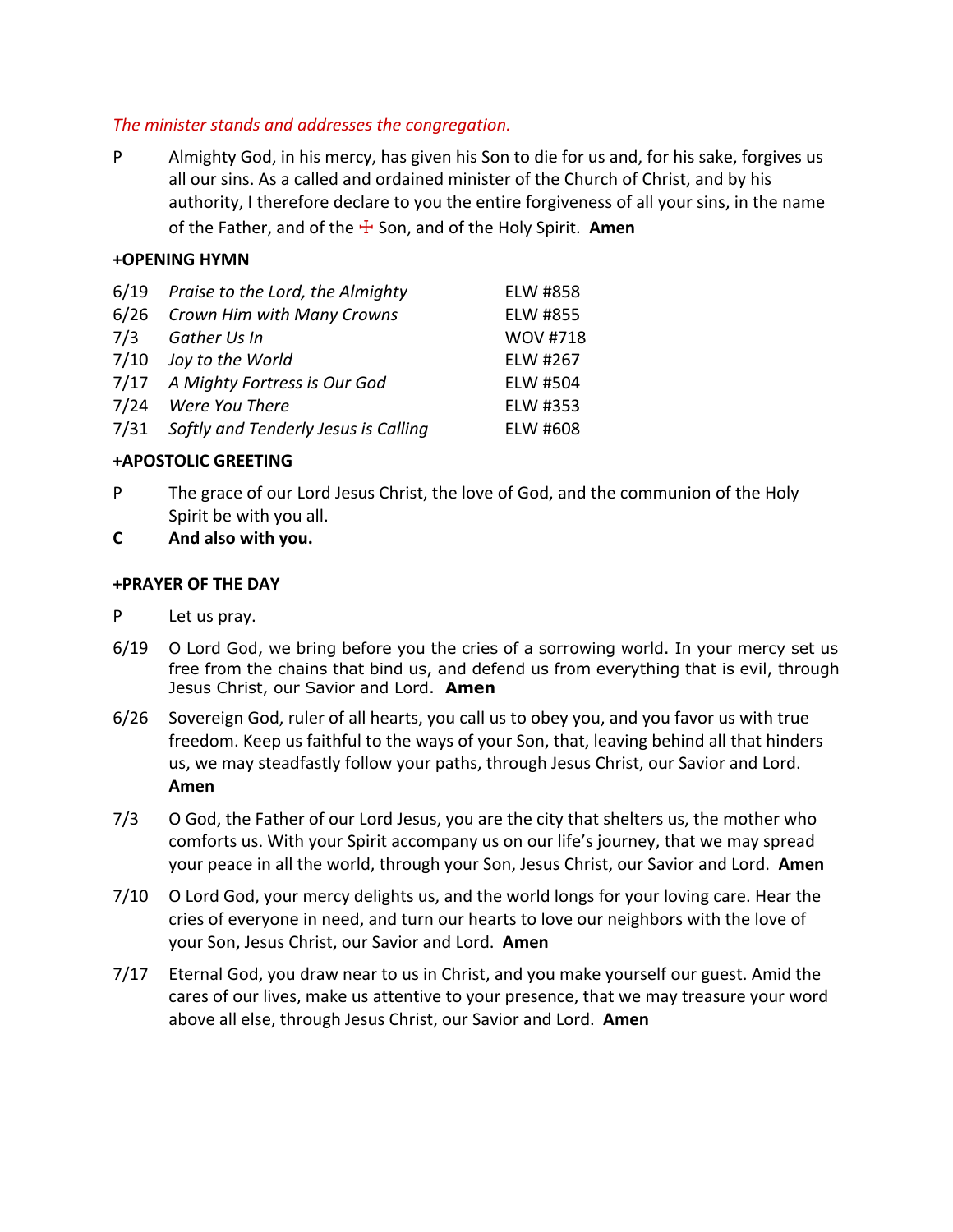# *The minister stands and addresses the congregation.*

P Almighty God, in his mercy, has given his Son to die for us and, for his sake, forgives us all our sins. As a called and ordained minister of the Church of Christ, and by his authority, I therefore declare to you the entire forgiveness of all your sins, in the name of the Father, and of the ☩ Son, and of the Holy Spirit. **Amen**

# **+OPENING HYMN**

|      | 6/19 Praise to the Lord, the Almighty | ELW #858        |
|------|---------------------------------------|-----------------|
|      | 6/26 Crown Him with Many Crowns       | ELW #855        |
| 7/3  | Gather Us In                          | <b>WOV #718</b> |
| 7/10 | Joy to the World                      | ELW #267        |
|      | 7/17 A Mighty Fortress is Our God     | ELW #504        |
|      | 7/24 Were You There                   | ELW #353        |
| 7/31 | Softly and Tenderly Jesus is Calling  | ELW #608        |

## **+APOSTOLIC GREETING**

- P The grace of our Lord Jesus Christ, the love of God, and the communion of the Holy Spirit be with you all.
- **C And also with you.**

### **+PRAYER OF THE DAY**

- P Let us pray.
- 6/19 O Lord God, we bring before you the cries of a sorrowing world. In your mercy set us free from the chains that bind us, and defend us from everything that is evil, through Jesus Christ, our Savior and Lord. **Amen**
- 6/26 Sovereign God, ruler of all hearts, you call us to obey you, and you favor us with true freedom. Keep us faithful to the ways of your Son, that, leaving behind all that hinders us, we may steadfastly follow your paths, through Jesus Christ, our Savior and Lord. **Amen**
- 7/3 O God, the Father of our Lord Jesus, you are the city that shelters us, the mother who comforts us. With your Spirit accompany us on our life's journey, that we may spread your peace in all the world, through your Son, Jesus Christ, our Savior and Lord. **Amen**
- 7/10 O Lord God, your mercy delights us, and the world longs for your loving care. Hear the cries of everyone in need, and turn our hearts to love our neighbors with the love of your Son, Jesus Christ, our Savior and Lord. **Amen**
- 7/17 Eternal God, you draw near to us in Christ, and you make yourself our guest. Amid the cares of our lives, make us attentive to your presence, that we may treasure your word above all else, through Jesus Christ, our Savior and Lord. **Amen**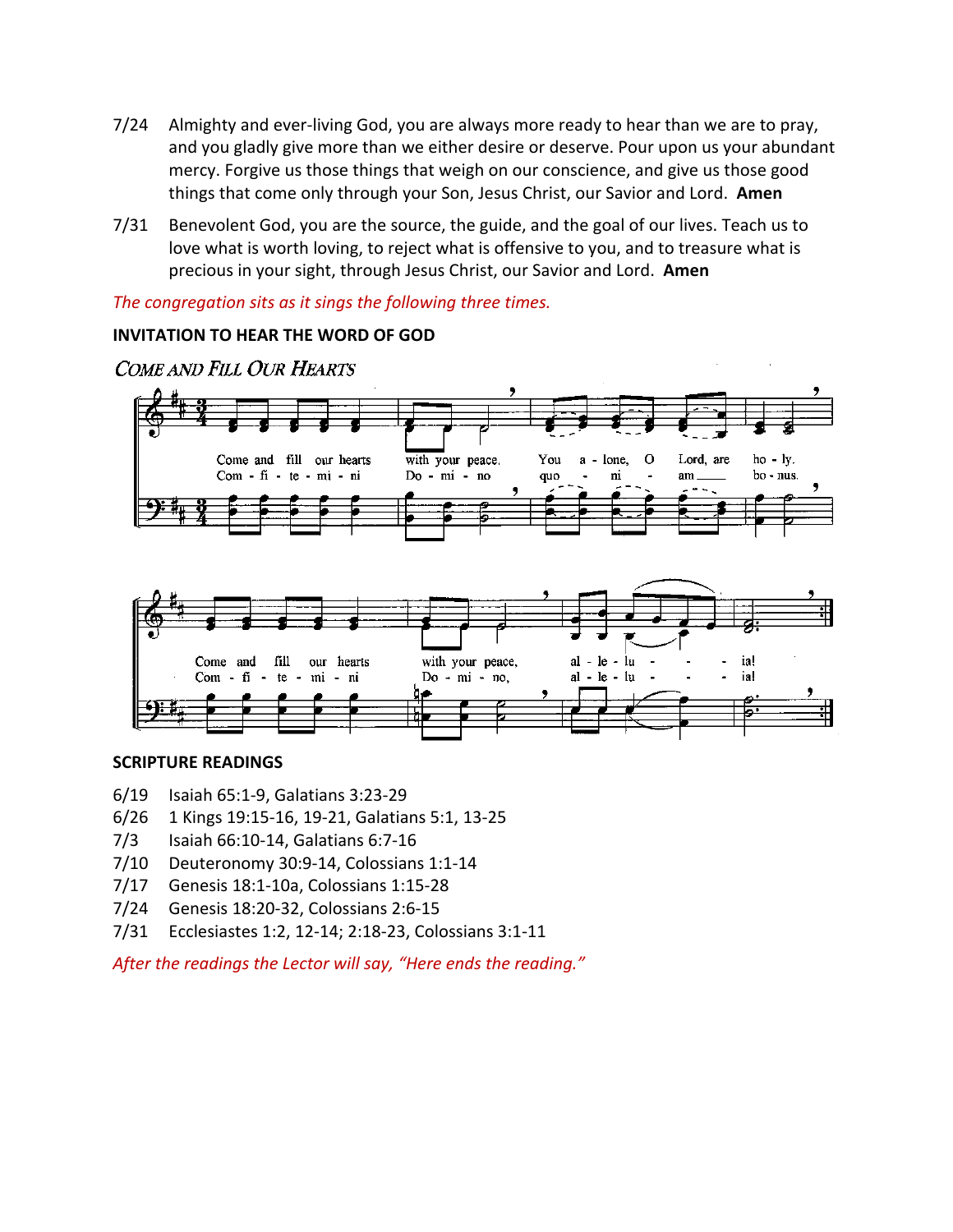- 7/24 Almighty and ever-living God, you are always more ready to hear than we are to pray, and you gladly give more than we either desire or deserve. Pour upon us your abundant mercy. Forgive us those things that weigh on our conscience, and give us those good things that come only through your Son, Jesus Christ, our Savior and Lord. **Amen**
- 7/31 Benevolent God, you are the source, the guide, and the goal of our lives. Teach us to love what is worth loving, to reject what is offensive to you, and to treasure what is precious in your sight, through Jesus Christ, our Savior and Lord. **Amen**

*The congregation sits as it sings the following three times.* 

# **INVITATION TO HEAR THE WORD OF GOD**



COME AND FILL OUR HEARTS



### **SCRIPTURE READINGS**

- 6/19 Isaiah 65:1-9, Galatians 3:23-29
- 6/26 1 Kings 19:15-16, 19-21, Galatians 5:1, 13-25
- 7/3 Isaiah 66:10-14, Galatians 6:7-16
- 7/10 Deuteronomy 30:9-14, Colossians 1:1-14
- 7/17 Genesis 18:1-10a, Colossians 1:15-28
- 7/24 Genesis 18:20-32, Colossians 2:6-15
- 7/31 Ecclesiastes 1:2, 12-14; 2:18-23, Colossians 3:1-11

*After the readings the Lector will say, "Here ends the reading."*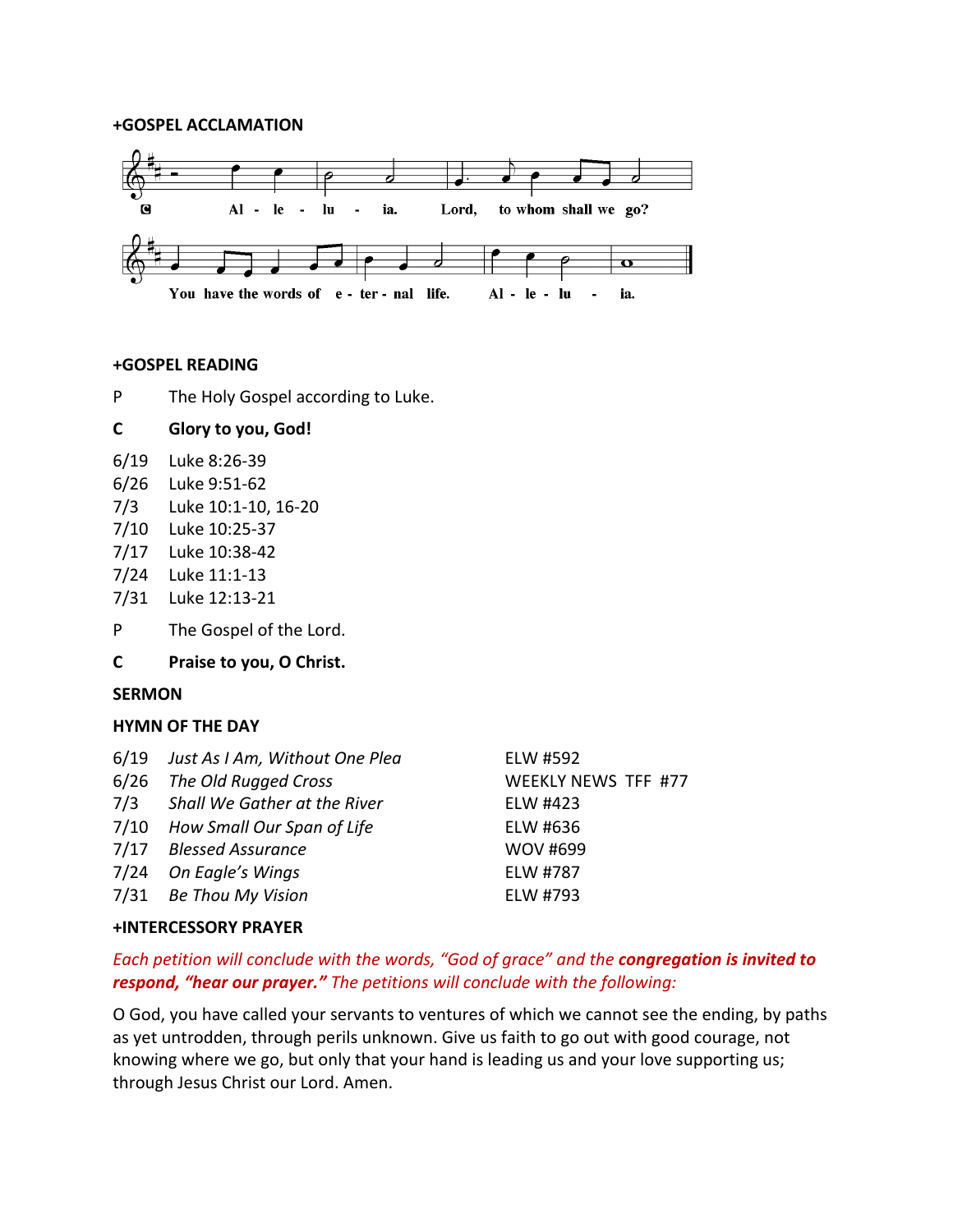#### **+GOSPEL ACCLAMATION**



#### **+GOSPEL READING**

P The Holy Gospel according to Luke.

## **C Glory to you, God!**

- 6/19 Luke 8:26-39
- 6/26 Luke 9:51-62
- 7/3 Luke 10:1-10, 16-20
- 7/10 Luke 10:25-37
- 7/17 Luke 10:38-42
- 7/24 Luke 11:1-13
- 7/31 Luke 12:13-21
- P The Gospel of the Lord.
- **C Praise to you, O Christ.**

#### **SERMON**

#### **HYMN OF THE DAY**

| 6/19 Just As I Am, Without One Plea | ELW #592                   |
|-------------------------------------|----------------------------|
| 6/26 The Old Rugged Cross           | <b>WEEKLY NEWS TFF #77</b> |
| 7/3 Shall We Gather at the River    | ELW #423                   |
| 7/10 How Small Our Span of Life     | ELW #636                   |
| 7/17 Blessed Assurance              | <b>WOV #699</b>            |
| 7/24 On Eagle's Wings               | ELW #787                   |
| 7/31 Be Thou My Vision              | ELW #793                   |
|                                     |                            |

#### **+INTERCESSORY PRAYER**

# *Each petition will conclude with the words, "God of grace" and the congregation is invited to respond, "hear our prayer." The petitions will conclude with the following:*

O God, you have called your servants to ventures of which we cannot see the ending, by paths as yet untrodden, through perils unknown. Give us faith to go out with good courage, not knowing where we go, but only that your hand is leading us and your love supporting us; through Jesus Christ our Lord. Amen.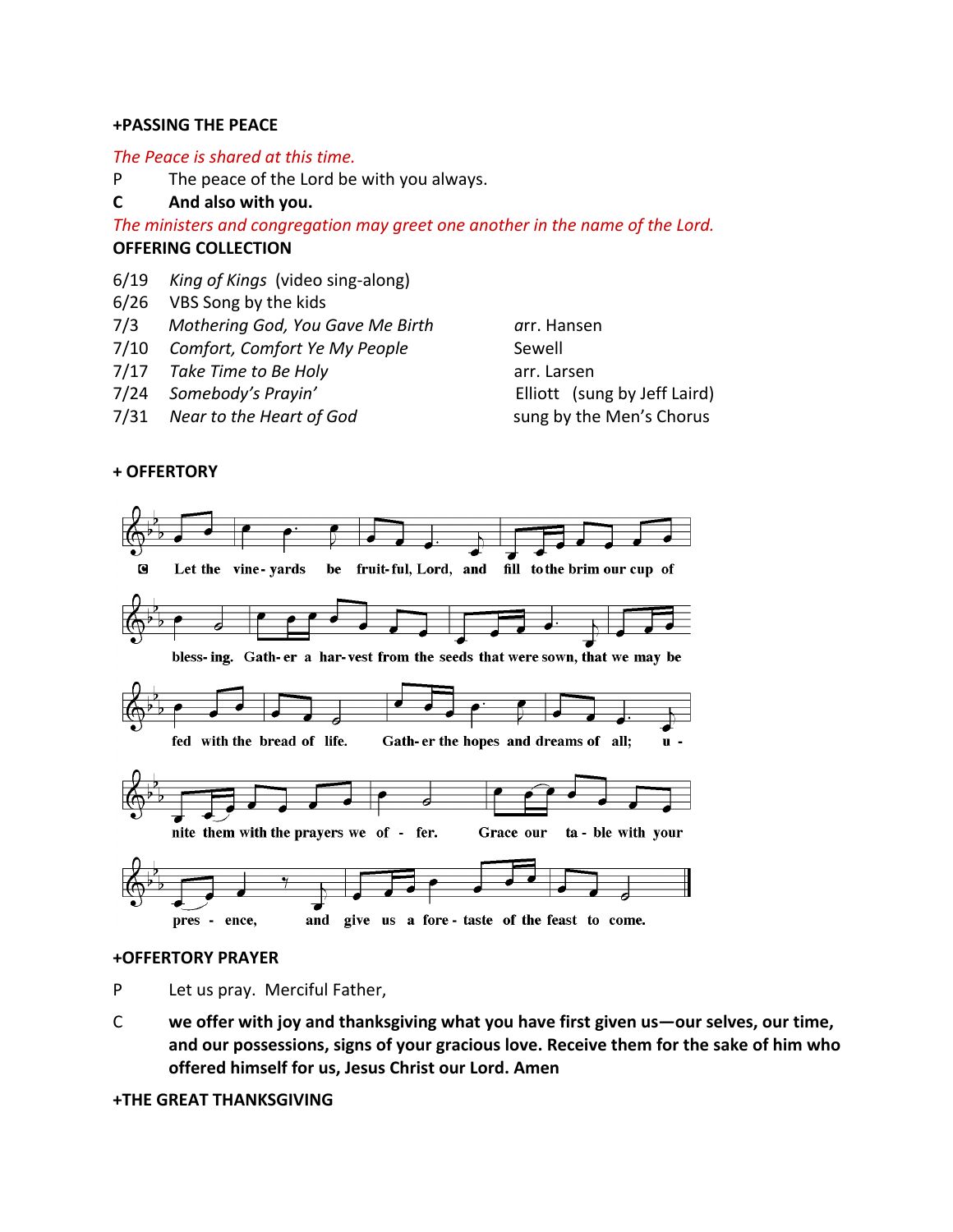### **+PASSING THE PEACE**

### *The Peace is shared at this time.*

P The peace of the Lord be with you always.

# **C And also with you.**

*The ministers and congregation may greet one another in the name of the Lord.* **OFFERING COLLECTION**

- 6/19 *King of Kings* (video sing-along)
- 6/26 VBS Song by the kids
- 7/3 *Mothering God, You Gave Me Birth a*rr. Hansen
- 7/10 *Comfort, Comfort Ye My People* Sewell
- 7/17 *Take Time to Be Holy* arr. Larsen
- 7/24 *Somebody's Prayin'* Elliott (sung by Jeff Laird)
- 7/31 *Near to the Heart of God* sung by the Men's Chorus

# **+ OFFERTORY**



### **+OFFERTORY PRAYER**

P Let us pray. Merciful Father,

C **we offer with joy and thanksgiving what you have first given us—our selves, our time, and our possessions, signs of your gracious love. Receive them for the sake of him who offered himself for us, Jesus Christ our Lord. Amen**

#### **+THE GREAT THANKSGIVING**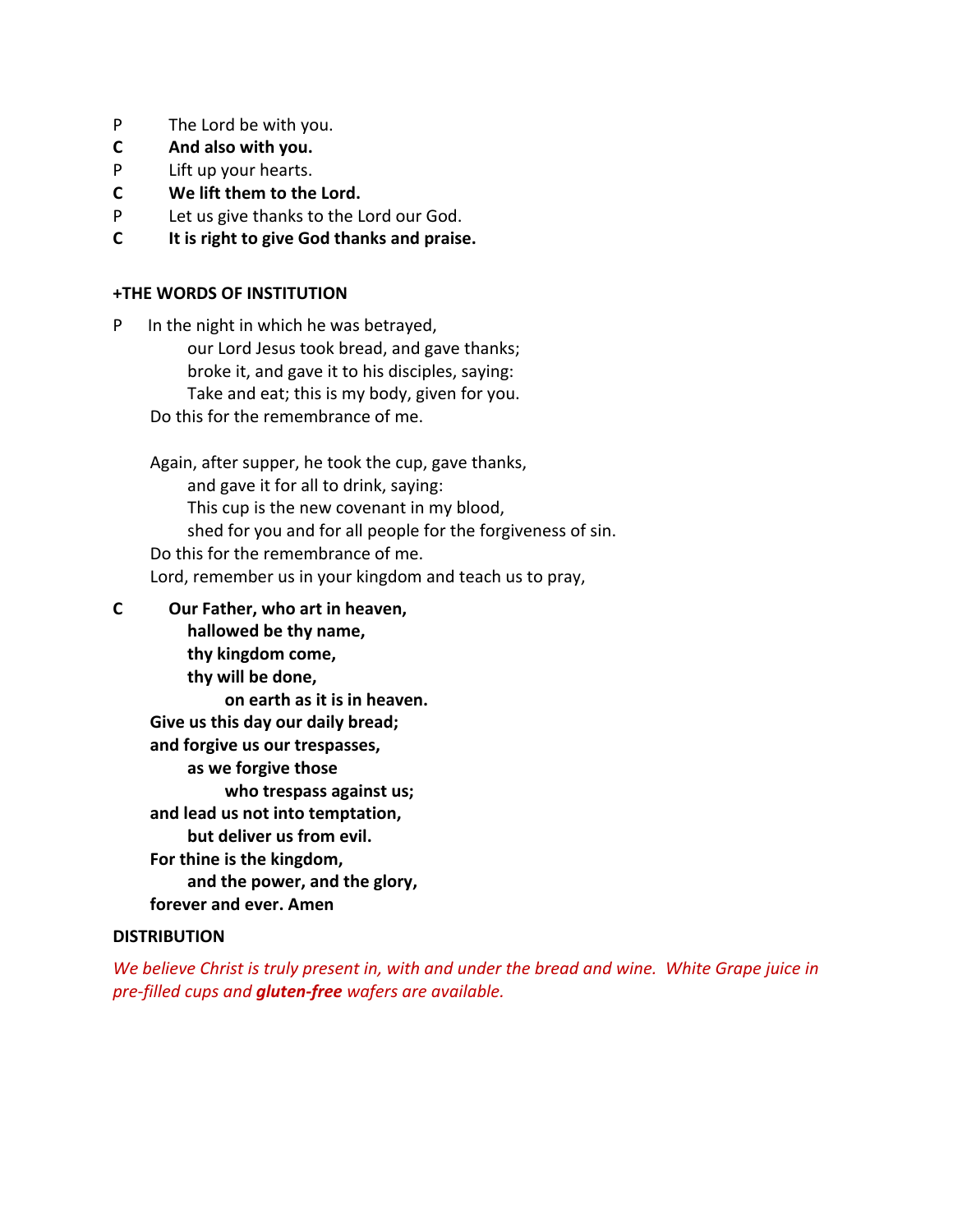- P The Lord be with you.
- **C And also with you.**
- P Lift up your hearts.
- **C We lift them to the Lord.**
- P Let us give thanks to the Lord our God.
- **C It is right to give God thanks and praise.**

# **+THE WORDS OF INSTITUTION**

P In the night in which he was betrayed, our Lord Jesus took bread, and gave thanks; broke it, and gave it to his disciples, saying: Take and eat; this is my body, given for you. Do this for the remembrance of me.

Again, after supper, he took the cup, gave thanks, and gave it for all to drink, saying: This cup is the new covenant in my blood, shed for you and for all people for the forgiveness of sin. Do this for the remembrance of me. Lord, remember us in your kingdom and teach us to pray,

**C Our Father, who art in heaven, hallowed be thy name, thy kingdom come, thy will be done, on earth as it is in heaven. Give us this day our daily bread; and forgive us our trespasses, as we forgive those who trespass against us; and lead us not into temptation, but deliver us from evil. For thine is the kingdom, and the power, and the glory, forever and ever. Amen**

# **DISTRIBUTION**

*We believe Christ is truly present in, with and under the bread and wine. White Grape juice in pre-filled cups and gluten-free wafers are available.*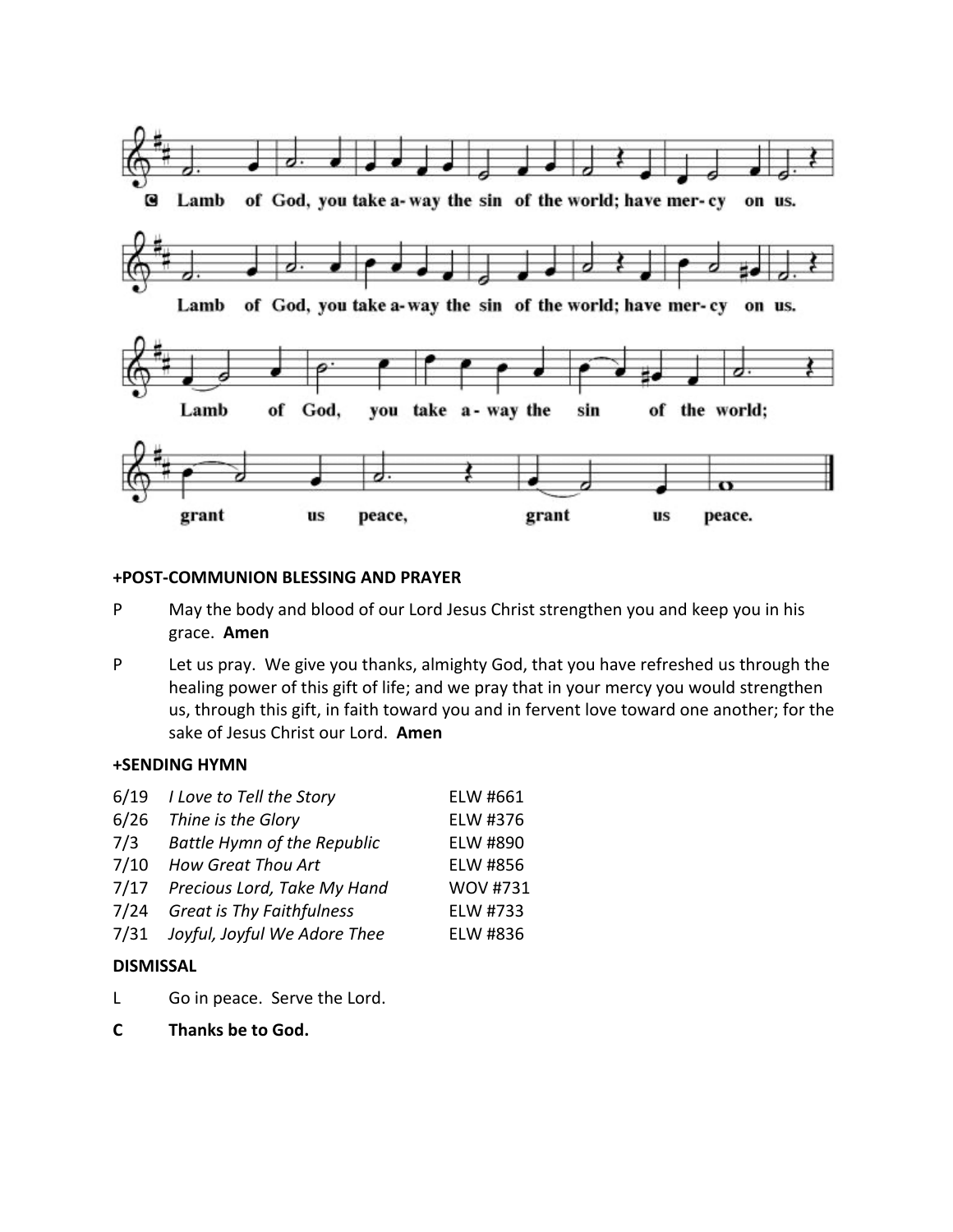

## **+POST-COMMUNION BLESSING AND PRAYER**

- P May the body and blood of our Lord Jesus Christ strengthen you and keep you in his grace. **Amen**
- P Let us pray. We give you thanks, almighty God, that you have refreshed us through the healing power of this gift of life; and we pray that in your mercy you would strengthen us, through this gift, in faith toward you and in fervent love toward one another; for the sake of Jesus Christ our Lord. **Amen**

## **+SENDING HYMN**

| 6/19 | I Love to Tell the Story           | ELW #661        |
|------|------------------------------------|-----------------|
| 6/26 | Thine is the Glory                 | ELW #376        |
| 7/3  | <b>Battle Hymn of the Republic</b> | ELW #890        |
| 7/10 | How Great Thou Art                 | ELW #856        |
| 7/17 | Precious Lord, Take My Hand        | <b>WOV #731</b> |
| 7/24 | <b>Great is Thy Faithfulness</b>   | ELW #733        |
| 7/31 | Joyful, Joyful We Adore Thee       | ELW #836        |
|      |                                    |                 |

# **DISMISSAL**

- L Go in peace. Serve the Lord.
- **C Thanks be to God.**